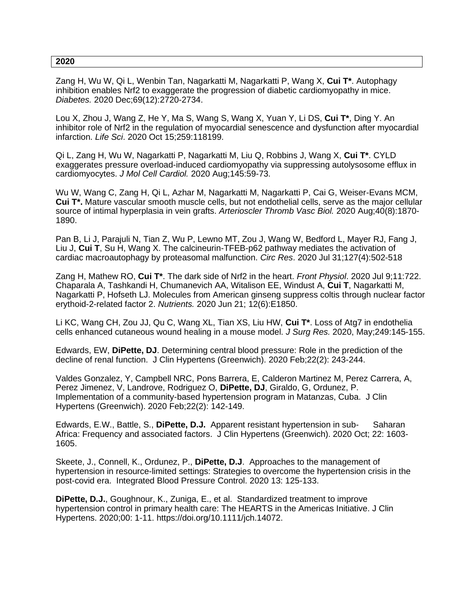## **2020**

Zang H, Wu W, Qi L, Wenbin Tan, Nagarkatti M, Nagarkatti P, Wang X, **Cui T\***. Autophagy inhibition enables Nrf2 to exaggerate the progression of diabetic cardiomyopathy in mice. *Diabetes.* 2020 Dec;69(12):2720-2734.

Lou X, Zhou J, Wang Z, He Y, Ma S, Wang S, Wang X, Yuan Y, Li DS, **Cui T\***, Ding Y. An inhibitor role of Nrf2 in the regulation of myocardial senescence and dysfunction after myocardial infarction. *Life Sci*. 2020 Oct 15;259:118199.

Qi L, Zang H, Wu W, Nagarkatti P, Nagarkatti M, Liu Q, Robbins J, Wang X, **Cui T\***. CYLD exaggerates pressure overload-induced cardiomyopathy via suppressing autolysosome efflux in cardiomyocytes. *J Mol Cell Cardiol.* 2020 Aug;145:59-73.

Wu W, Wang C, Zang H, Qi L, Azhar M, Nagarkatti M, Nagarkatti P, Cai G, Weiser-Evans MCM, **Cui T\*.** Mature vascular smooth muscle cells, but not endothelial cells, serve as the major cellular source of intimal hyperplasia in vein grafts. *Arterioscler Thromb Vasc Biol.* 2020 Aug;40(8):1870- 1890.

Pan B, Li J, Parajuli N, Tian Z, Wu P, Lewno MT, Zou J, Wang W, Bedford L, Mayer RJ, Fang J, Liu J, **Cui T**, Su H, Wang X. The calcineurin-TFEB-p62 pathway mediates the activation of cardiac macroautophagy by proteasomal malfunction. *Circ Res*. 2020 Jul 31;127(4):502-518

Zang H, Mathew RO, **Cui T\***. The dark side of Nrf2 in the heart. *Front Physiol*. 2020 Jul 9;11:722. Chaparala A, Tashkandi H, Chumanevich AA, Witalison EE, Windust A, **Cui T**, Nagarkatti M, Nagarkatti P, Hofseth LJ. Molecules from American ginseng suppress coltis through nuclear factor erythoid-2-related factor 2. *Nutrients.* 2020 Jun 21; 12(6):E1850.

Li KC, Wang CH, Zou JJ, Qu C, Wang XL, Tian XS, Liu HW, **Cui T\***. Loss of Atg7 in endothelia cells enhanced cutaneous wound healing in a mouse model. *J Surg Res.* 2020, May;249:145-155.

Edwards, EW, **DiPette, DJ**. Determining central blood pressure: Role in the prediction of the decline of renal function. J Clin Hypertens (Greenwich). 2020 Feb;22(2): 243-244.

Valdes Gonzalez, Y, Campbell NRC, Pons Barrera, E, Calderon Martinez M, Perez Carrera, A, Perez Jimenez, V, Landrove, Rodriguez O, **DiPette, DJ**, Giraldo, G, Ordunez, P. Implementation of a community-based hypertension program in Matanzas, Cuba. J Clin Hypertens (Greenwich). 2020 Feb;22(2): 142-149.

Edwards, E.W., Battle, S., **DiPette, D.J.** Apparent resistant hypertension in sub- Saharan Africa: Frequency and associated factors. J Clin Hypertens (Greenwich). 2020 Oct; 22: 1603- 1605.

Skeete, J., Connell, K., Ordunez, P., **DiPette, D.J**. Approaches to the management of hypertension in resource-limited settings: Strategies to overcome the hypertension crisis in the post-covid era. Integrated Blood Pressure Control. 2020 13: 125-133.

**DiPette, D.J.**, Goughnour, K., Zuniga, E., et al. Standardized treatment to improve hypertension control in primary health care: The HEARTS in the Americas Initiative. J Clin Hypertens. 2020;00: 1-11. https://doi.org/10.1111/jch.14072.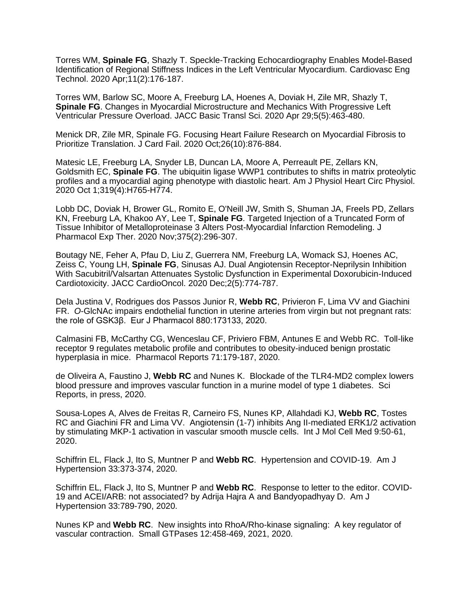Torres WM, **Spinale FG**, Shazly T. Speckle-Tracking Echocardiography Enables Model-Based Identification of Regional Stiffness Indices in the Left Ventricular Myocardium. Cardiovasc Eng Technol. 2020 Apr;11(2):176-187.

Torres WM, Barlow SC, Moore A, Freeburg LA, Hoenes A, Doviak H, Zile MR, Shazly T, **Spinale FG**. Changes in Myocardial Microstructure and Mechanics With Progressive Left Ventricular Pressure Overload. JACC Basic Transl Sci. 2020 Apr 29;5(5):463-480.

Menick DR, Zile MR, Spinale FG. Focusing Heart Failure Research on Myocardial Fibrosis to Prioritize Translation. J Card Fail. 2020 Oct;26(10):876-884.

Matesic LE, Freeburg LA, Snyder LB, Duncan LA, Moore A, Perreault PE, Zellars KN, Goldsmith EC, **Spinale FG**. The ubiquitin ligase WWP1 contributes to shifts in matrix proteolytic profiles and a myocardial aging phenotype with diastolic heart. Am J Physiol Heart Circ Physiol. 2020 Oct 1;319(4):H765-H774.

Lobb DC, Doviak H, Brower GL, Romito E, O'Neill JW, Smith S, Shuman JA, Freels PD, Zellars KN, Freeburg LA, Khakoo AY, Lee T, **Spinale FG**. Targeted Injection of a Truncated Form of Tissue Inhibitor of Metalloproteinase 3 Alters Post-Myocardial Infarction Remodeling. J Pharmacol Exp Ther. 2020 Nov;375(2):296-307.

Boutagy NE, Feher A, Pfau D, Liu Z, Guerrera NM, Freeburg LA, Womack SJ, Hoenes AC, Zeiss C, Young LH, **Spinale FG**, Sinusas AJ. Dual Angiotensin Receptor-Neprilysin Inhibition With Sacubitril/Valsartan Attenuates Systolic Dysfunction in Experimental Doxorubicin-Induced Cardiotoxicity. JACC CardioOncol. 2020 Dec;2(5):774-787.

Dela Justina V, Rodrigues dos Passos Junior R, **Webb RC**, Privieron F, Lima VV and Giachini FR. *O*-GlcNAc impairs endothelial function in uterine arteries from virgin but not pregnant rats: the role of GSK3β. Eur J Pharmacol 880:173133, 2020.

Calmasini FB, McCarthy CG, Wenceslau CF, Priviero FBM, Antunes E and Webb RC. Toll-like receptor 9 regulates metabolic profile and contributes to obesity-induced benign prostatic hyperplasia in mice. Pharmacol Reports 71:179-187, 2020.

de Oliveira A, Faustino J, **Webb RC** and Nunes K. Blockade of the TLR4-MD2 complex lowers blood pressure and improves vascular function in a murine model of type 1 diabetes. Sci Reports, in press, 2020.

Sousa-Lopes A, Alves de Freitas R, Carneiro FS, Nunes KP, Allahdadi KJ, **Webb RC**, Tostes RC and Giachini FR and Lima VV. Angiotensin (1-7) inhibits Ang II-mediated ERK1/2 activation by stimulating MKP-1 activation in vascular smooth muscle cells. Int J Mol Cell Med 9:50-61, 2020.

Schiffrin EL, Flack J, Ito S, Muntner P and **Webb RC**. Hypertension and COVID-19. Am J Hypertension 33:373-374, 2020.

Schiffrin EL, Flack J, Ito S, Muntner P and **Webb RC**. Response to letter to the editor. COVID-19 and ACEI/ARB: not associated? by Adrija Hajra A and Bandyopadhyay D. Am J Hypertension 33:789-790, 2020.

Nunes KP and **Webb RC**. New insights into RhoA/Rho-kinase signaling: A key regulator of vascular contraction. Small GTPases 12:458-469, 2021, 2020.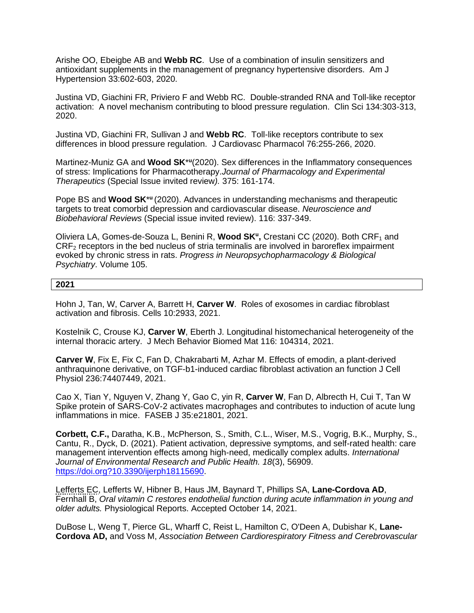Arishe OO, Ebeigbe AB and **Webb RC**. Use of a combination of insulin sensitizers and antioxidant supplements in the management of pregnancy hypertensive disorders. Am J Hypertension 33:602-603, 2020.

Justina VD, Giachini FR, Priviero F and Webb RC. Double-stranded RNA and Toll-like receptor activation: A novel mechanism contributing to blood pressure regulation. Clin Sci 134:303-313, 2020.

Justina VD, Giachini FR, Sullivan J and **Webb RC**. Toll-like receptors contribute to sex differences in blood pressure regulation. J Cardiovasc Pharmacol 76:255-266, 2020.

Martinez-Muniz GA and **Wood SK**<sup>\*u</sup>(2020). Sex differences in the Inflammatory consequences of stress: Implications for Pharmacotherapy.*Journal of Pharmacology and Experimental Therapeutics* (Special Issue invited review*).* 375: 161-174.

Pope BS and **Wood SK**<sup>\*u</sup> (2020). Advances in understanding mechanisms and therapeutic targets to treat comorbid depression and cardiovascular disease. *Neuroscience and Biobehavioral Reviews* (Special issue invited review). 116: 337-349.

Oliviera LA, Gomes-de-Souza L, Benini R, Wood SK<sup>u</sup>, Crestani CC (2020). Both CRF<sub>1</sub> and CRF<sup>2</sup> receptors in the bed nucleus of stria terminalis are involved in baroreflex impairment evoked by chronic stress in rats. *Progress in Neuropsychopharmacology & Biological Psychiatry*. Volume 105.

## **2021**

Hohn J, Tan, W, Carver A, Barrett H, **Carver W**. Roles of exosomes in cardiac fibroblast activation and fibrosis. Cells 10:2933, 2021.

Kostelnik C, Crouse KJ, **Carver W**, Eberth J. Longitudinal histomechanical heterogeneity of the internal thoracic artery. J Mech Behavior Biomed Mat 116: 104314, 2021.

**Carver W**, Fix E, Fix C, Fan D, Chakrabarti M, Azhar M. Effects of emodin, a plant-derived anthraquinone derivative, on TGF-b1-induced cardiac fibroblast activation an function J Cell Physiol 236:74407449, 2021.

Cao X, Tian Y, Nguyen V, Zhang Y, Gao C, yin R, **Carver W**, Fan D, Albrecth H, Cui T, Tan W Spike protein of SARS-CoV-2 activates macrophages and contributes to induction of acute lung inflammations in mice. FASEB J 35:e21801, 2021.

**Corbett, C.F.,** Daratha, K.B., McPherson, S., Smith, C.L., Wiser, M.S., Vogrig, B.K., Murphy, S., Cantu, R., Dyck, D. (2021). Patient activation, depressive symptoms, and self-rated health: care management intervention effects among high-need, medically complex adults. *International Journal of Environmental Research and Public Health. 18*(3), 56909. [https://doi.org?10.3390/ijerph18115690.](https://doi.org/?10.3390/ijerph18115690)

Lefferts EC, Lefferts W, Hibner B, Haus JM, Baynard T, Phillips SA, **Lane-Cordova AD**, Fernhall B, *Oral vitamin C restores endothelial function during acute inflammation in young and older adults.* Physiological Reports. Accepted October 14, 2021.

DuBose L, Weng T, Pierce GL, Wharff C, Reist L, Hamilton C, O'Deen A, Dubishar K, **Lane-Cordova AD,** and Voss M, *Association Between Cardiorespiratory Fitness and Cerebrovascular*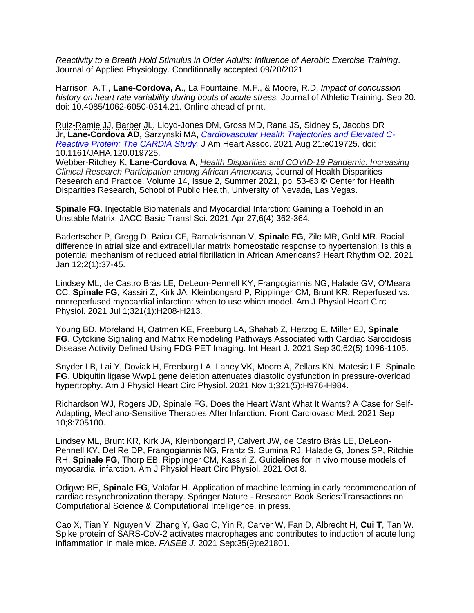*Reactivity to a Breath Hold Stimulus in Older Adults: Influence of Aerobic Exercise Training*. Journal of Applied Physiology. Conditionally accepted 09/20/2021.

Harrison, A.T., **Lane-Cordova, A**., La Fountaine, M.F., & Moore, R.D. *Impact of concussion history on heart rate variability during bouts of acute stress.* Journal of Athletic Training. Sep 20. doi: 10.4085/1062-6050-0314.21. Online ahead of print.

Ruiz-Ramie JJ, Barber JL, Lloyd-Jones DM, Gross MD, Rana JS, Sidney S, Jacobs DR Jr, **Lane-Cordova AD**, Sarzynski MA, *[Cardiovascular Health Trajectories and Elevated C-](https://pubmed-ncbi-nlm-nih-gov.pallas2.tcl.sc.edu/34423651/)[Reactive Protein: The CARDIA Study.](https://pubmed-ncbi-nlm-nih-gov.pallas2.tcl.sc.edu/34423651/)* J Am Heart Assoc. 2021 Aug 21:e019725. doi: 10.1161/JAHA.120.019725.

Webber-Ritchey K, **Lane-Cordova A***, Health Disparities and COVID-19 [Pandemic:](https://digitalscholarship.unlv.edu/cgi/viewcontent.cgi?article=2076&context=jhdrp) Increasing Clinical Research [Participation](https://digitalscholarship.unlv.edu/cgi/viewcontent.cgi?article=2076&context=jhdrp) among African Americans,* Journal of Health Disparities Research and Practice. Volume 14, Issue 2, Summer 2021, pp. 53-63 © Center for Health Disparities Research, School of Public Health, University of Nevada, Las Vegas.

**Spinale FG**. Injectable Biomaterials and Myocardial Infarction: Gaining a Toehold in an Unstable Matrix. JACC Basic Transl Sci. 2021 Apr 27;6(4):362-364.

Badertscher P, Gregg D, Baicu CF, Ramakrishnan V, **Spinale FG**, Zile MR, Gold MR. Racial difference in atrial size and extracellular matrix homeostatic response to hypertension: Is this a potential mechanism of reduced atrial fibrillation in African Americans? Heart Rhythm O2. 2021 Jan 12;2(1):37-45.

Lindsey ML, de Castro Brás LE, DeLeon-Pennell KY, Frangogiannis NG, Halade GV, O'Meara CC, **Spinale FG**, Kassiri Z, Kirk JA, Kleinbongard P, Ripplinger CM, Brunt KR. Reperfused vs. nonreperfused myocardial infarction: when to use which model. Am J Physiol Heart Circ Physiol. 2021 Jul 1;321(1):H208-H213.

Young BD, Moreland H, Oatmen KE, Freeburg LA, Shahab Z, Herzog E, Miller EJ, **Spinale FG**. Cytokine Signaling and Matrix Remodeling Pathways Associated with Cardiac Sarcoidosis Disease Activity Defined Using FDG PET Imaging. Int Heart J. 2021 Sep 30;62(5):1096-1105.

Snyder LB, Lai Y, Doviak H, Freeburg LA, Laney VK, Moore A, Zellars KN, Matesic LE, Spi**nale FG**. Ubiquitin ligase Wwp1 gene deletion attenuates diastolic dysfunction in pressure-overload hypertrophy. Am J Physiol Heart Circ Physiol. 2021 Nov 1;321(5):H976-H984.

Richardson WJ, Rogers JD, Spinale FG. Does the Heart Want What It Wants? A Case for Self-Adapting, Mechano-Sensitive Therapies After Infarction. Front Cardiovasc Med. 2021 Sep 10;8:705100.

Lindsey ML, Brunt KR, Kirk JA, Kleinbongard P, Calvert JW, de Castro Brás LE, DeLeon-Pennell KY, Del Re DP, Frangogiannis NG, Frantz S, Gumina RJ, Halade G, Jones SP, Ritchie RH, **Spinale FG**, Thorp EB, Ripplinger CM, Kassiri Z. Guidelines for in vivo mouse models of myocardial infarction. Am J Physiol Heart Circ Physiol. 2021 Oct 8.

Odigwe BE, **Spinale FG**, Valafar H. Application of machine learning in early recommendation of cardiac resynchronization therapy. Springer Nature - Research Book Series:Transactions on Computational Science & Computational Intelligence, in press.

Cao X, Tian Y, Nguyen V, Zhang Y, Gao C, Yin R, Carver W, Fan D, Albrecht H, **Cui T**, Tan W. Spike protein of SARS-CoV-2 activates macrophages and contributes to induction of acute lung inflammation in male mice. *FASEB J*. 2021 Sep:35(9):e21801.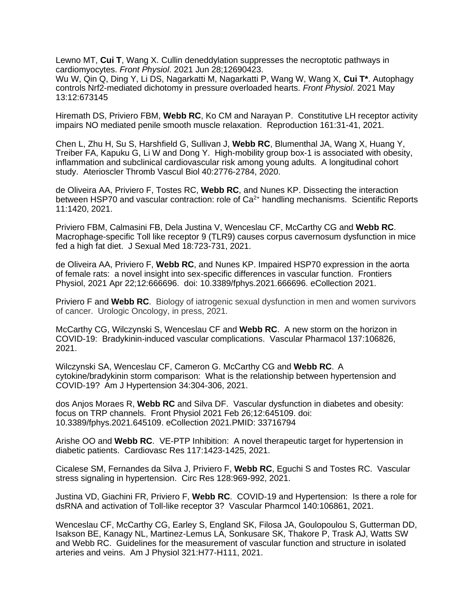Lewno MT, **Cui T**, Wang X. Cullin deneddylation suppresses the necroptotic pathways in cardiomyocytes. *Front Physiol*. 2021 Jun 28;12690423.

Wu W, Qin Q, Ding Y, Li DS, Nagarkatti M, Nagarkatti P, Wang W, Wang X, **Cui T\***. Autophagy controls Nrf2-mediated dichotomy in pressure overloaded hearts. *Front Physiol*. 2021 May 13:12:673145

Hiremath DS, Priviero FBM, **Webb RC**, Ko CM and Narayan P. Constitutive LH receptor activity impairs NO mediated penile smooth muscle relaxation. Reproduction 161:31-41, 2021.

Chen L, Zhu H, Su S, Harshfield G, Sullivan J, **Webb RC**, Blumenthal JA, Wang X, Huang Y, Treiber FA, Kapuku G, Li W and Dong Y. High-mobility group box-1 is associated with obesity, inflammation and subclinical cardiovascular risk among young adults. A longitudinal cohort study. Aterioscler Thromb Vascul Biol 40:2776-2784, 2020.

de Oliveira AA, Priviero F, Tostes RC, **Webb RC**, and Nunes KP. Dissecting the interaction between HSP70 and vascular contraction: role of  $Ca<sup>2+</sup>$  handling mechanisms. Scientific Reports 11:1420, 2021.

Priviero FBM, Calmasini FB, Dela Justina V, Wenceslau CF, McCarthy CG and **Webb RC**. Macrophage-specific Toll like receptor 9 (TLR9) causes corpus cavernosum dysfunction in mice fed a high fat diet. J Sexual Med 18:723-731, 2021.

de Oliveira AA, Priviero F, **Webb RC**, and Nunes KP. Impaired HSP70 expression in the aorta of female rats: a novel insight into sex-specific differences in vascular function. Frontiers Physiol, 2021 Apr 22;12:666696. doi: 10.3389/fphys.2021.666696. eCollection 2021.

Priviero F and **Webb RC**. Biology of iatrogenic sexual dysfunction in men and women survivors of cancer. Urologic Oncology, in press, 2021.

McCarthy CG, Wilczynski S, Wenceslau CF and **Webb RC**. A new storm on the horizon in COVID-19: Bradykinin-induced vascular complications. Vascular Pharmacol 137:106826, 2021.

Wilczynski SA, Wenceslau CF, Cameron G. McCarthy CG and **Webb RC**. A cytokine/bradykinin storm comparison: What is the relationship between hypertension and COVID-19? Am J Hypertension 34:304-306, 2021.

dos Anjos Moraes R, **Webb RC** and Silva DF. Vascular dysfunction in diabetes and obesity: focus on TRP channels. Front Physiol 2021 Feb 26;12:645109. doi: 10.3389/fphys.2021.645109. eCollection 2021.PMID: 33716794

Arishe OO and **Webb RC**. VE-PTP Inhibition: A novel therapeutic target for hypertension in diabetic patients. Cardiovasc Res 117:1423-1425, 2021.

Cicalese SM, Fernandes da Silva J, Priviero F, **Webb RC**, Eguchi S and Tostes RC. Vascular stress signaling in hypertension. Circ Res 128:969-992, 2021.

Justina VD, Giachini FR, Priviero F, **Webb RC**. COVID-19 and Hypertension: Is there a role for dsRNA and activation of Toll-like receptor 3? Vascular Pharmcol 140:106861, 2021.

Wenceslau CF, McCarthy CG, Earley S, England SK, Filosa JA, Goulopoulou S, Gutterman DD, Isakson BE, Kanagy NL, Martinez-Lemus LA, Sonkusare SK, Thakore P, Trask AJ, Watts SW and Webb RC. Guidelines for the measurement of vascular function and structure in isolated arteries and veins. Am J Physiol 321:H77-H111, 2021.